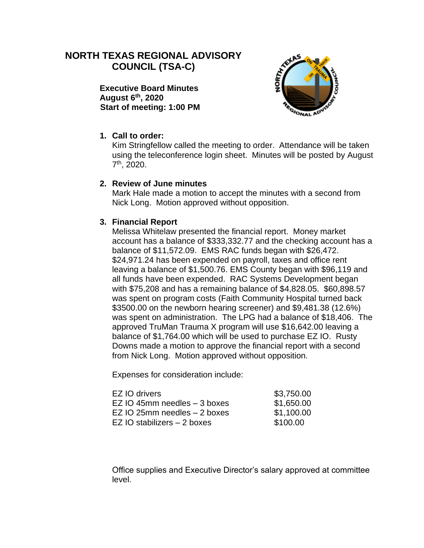# **NORTH TEXAS REGIONAL ADVISORY COUNCIL (TSA-C)**

**Executive Board Minutes August 6th, 2020 Start of meeting: 1:00 PM**



## **1. Call to order:**

Kim Stringfellow called the meeting to order. Attendance will be taken using the teleconference login sheet. Minutes will be posted by August 7 th, 2020.

#### **2. Review of June minutes**

Mark Hale made a motion to accept the minutes with a second from Nick Long. Motion approved without opposition.

#### **3. Financial Report**

Melissa Whitelaw presented the financial report. Money market account has a balance of \$333,332.77 and the checking account has a balance of \$11,572.09. EMS RAC funds began with \$26,472. \$24,971.24 has been expended on payroll, taxes and office rent leaving a balance of \$1,500.76. EMS County began with \$96,119 and all funds have been expended. RAC Systems Development began with \$75,208 and has a remaining balance of \$4,828.05. \$60,898.57 was spent on program costs (Faith Community Hospital turned back \$3500.00 on the newborn hearing screener) and \$9,481.38 (12.6%) was spent on administration. The LPG had a balance of \$18,406. The approved TruMan Trauma X program will use \$16,642.00 leaving a balance of \$1,764.00 which will be used to purchase EZ IO. Rusty Downs made a motion to approve the financial report with a second from Nick Long. Motion approved without opposition.

Expenses for consideration include:

| EZ IO drivers                  | \$3,750.00 |
|--------------------------------|------------|
| EZ IO 45mm needles $-$ 3 boxes | \$1,650.00 |
| EZ IO 25mm needles $-$ 2 boxes | \$1,100.00 |
| EZ IO stabilizers – 2 boxes    | \$100.00   |

Office supplies and Executive Director's salary approved at committee level.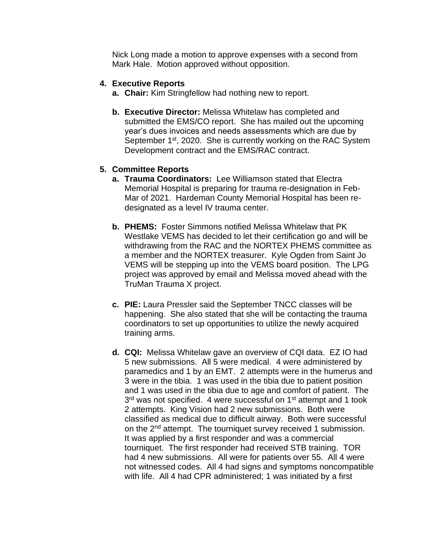Nick Long made a motion to approve expenses with a second from Mark Hale. Motion approved without opposition.

#### **4. Executive Reports**

- **a. Chair:** Kim Stringfellow had nothing new to report.
- **b. Executive Director:** Melissa Whitelaw has completed and submitted the EMS/CO report. She has mailed out the upcoming year's dues invoices and needs assessments which are due by September 1<sup>st</sup>, 2020. She is currently working on the RAC System Development contract and the EMS/RAC contract.

## **5. Committee Reports**

- **a. Trauma Coordinators:** Lee Williamson stated that Electra Memorial Hospital is preparing for trauma re-designation in Feb-Mar of 2021. Hardeman County Memorial Hospital has been redesignated as a level IV trauma center.
- **b. PHEMS:** Foster Simmons notified Melissa Whitelaw that PK Westlake VEMS has decided to let their certification go and will be withdrawing from the RAC and the NORTEX PHEMS committee as a member and the NORTEX treasurer. Kyle Ogden from Saint Jo VEMS will be stepping up into the VEMS board position. The LPG project was approved by email and Melissa moved ahead with the TruMan Trauma X project.
- **c. PIE:** Laura Pressler said the September TNCC classes will be happening. She also stated that she will be contacting the trauma coordinators to set up opportunities to utilize the newly acquired training arms.
- **d. CQI:** Melissa Whitelaw gave an overview of CQI data. EZ IO had 5 new submissions. All 5 were medical. 4 were administered by paramedics and 1 by an EMT. 2 attempts were in the humerus and 3 were in the tibia. 1 was used in the tibia due to patient position and 1 was used in the tibia due to age and comfort of patient. The 3<sup>rd</sup> was not specified. 4 were successful on 1<sup>st</sup> attempt and 1 took 2 attempts. King Vision had 2 new submissions. Both were classified as medical due to difficult airway. Both were successful on the 2<sup>nd</sup> attempt. The tourniquet survey received 1 submission. It was applied by a first responder and was a commercial tourniquet. The first responder had received STB training. TOR had 4 new submissions. All were for patients over 55. All 4 were not witnessed codes. All 4 had signs and symptoms noncompatible with life. All 4 had CPR administered; 1 was initiated by a first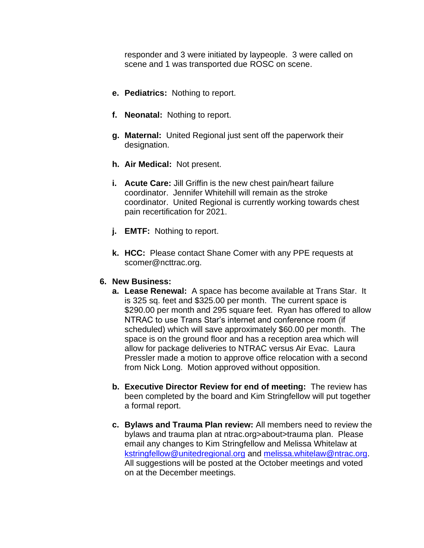responder and 3 were initiated by laypeople. 3 were called on scene and 1 was transported due ROSC on scene.

- **e. Pediatrics:** Nothing to report.
- **f. Neonatal:** Nothing to report.
- **g. Maternal:** United Regional just sent off the paperwork their designation.
- **h. Air Medical:** Not present.
- **i. Acute Care:** Jill Griffin is the new chest pain/heart failure coordinator. Jennifer Whitehill will remain as the stroke coordinator. United Regional is currently working towards chest pain recertification for 2021.
- **j. EMTF:** Nothing to report.
- **k. HCC:** Please contact Shane Comer with any PPE requests at scomer@ncttrac.org.

#### **6. New Business:**

- **a. Lease Renewal:** A space has become available at Trans Star. It is 325 sq. feet and \$325.00 per month. The current space is \$290.00 per month and 295 square feet. Ryan has offered to allow NTRAC to use Trans Star's internet and conference room (if scheduled) which will save approximately \$60.00 per month. The space is on the ground floor and has a reception area which will allow for package deliveries to NTRAC versus Air Evac. Laura Pressler made a motion to approve office relocation with a second from Nick Long. Motion approved without opposition.
- **b. Executive Director Review for end of meeting:** The review has been completed by the board and Kim Stringfellow will put together a formal report.
- **c. Bylaws and Trauma Plan review:** All members need to review the bylaws and trauma plan at ntrac.org>about>trauma plan. Please email any changes to Kim Stringfellow and Melissa Whitelaw at [kstringfellow@unitedregional.org](mailto:kstringfellow@unitedregional.org) and [melissa.whitelaw@ntrac.org.](mailto:melissa.whitelaw@ntrac.org) All suggestions will be posted at the October meetings and voted on at the December meetings.